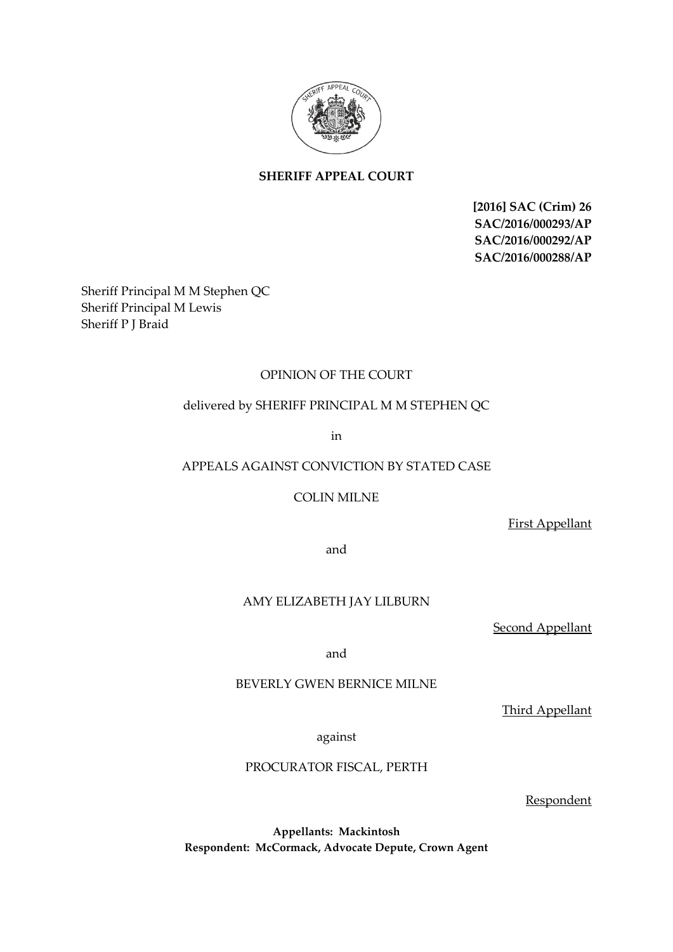

# **SHERIFF APPEAL COURT**

**[2016] SAC (Crim) 26 SAC/2016/000293/AP SAC/2016/000292/AP SAC/2016/000288/AP**

Sheriff Principal M M Stephen QC Sheriff Principal M Lewis Sheriff P J Braid

## OPINION OF THE COURT

## delivered by SHERIFF PRINCIPAL M M STEPHEN QC

in

## APPEALS AGAINST CONVICTION BY STATED CASE

COLIN MILNE

First Appellant

and

## AMY ELIZABETH JAY LILBURN

Second Appellant

and

### BEVERLY GWEN BERNICE MILNE

Third Appellant

against

#### PROCURATOR FISCAL, PERTH

Respondent

**Appellants: Mackintosh Respondent: McCormack, Advocate Depute, Crown Agent**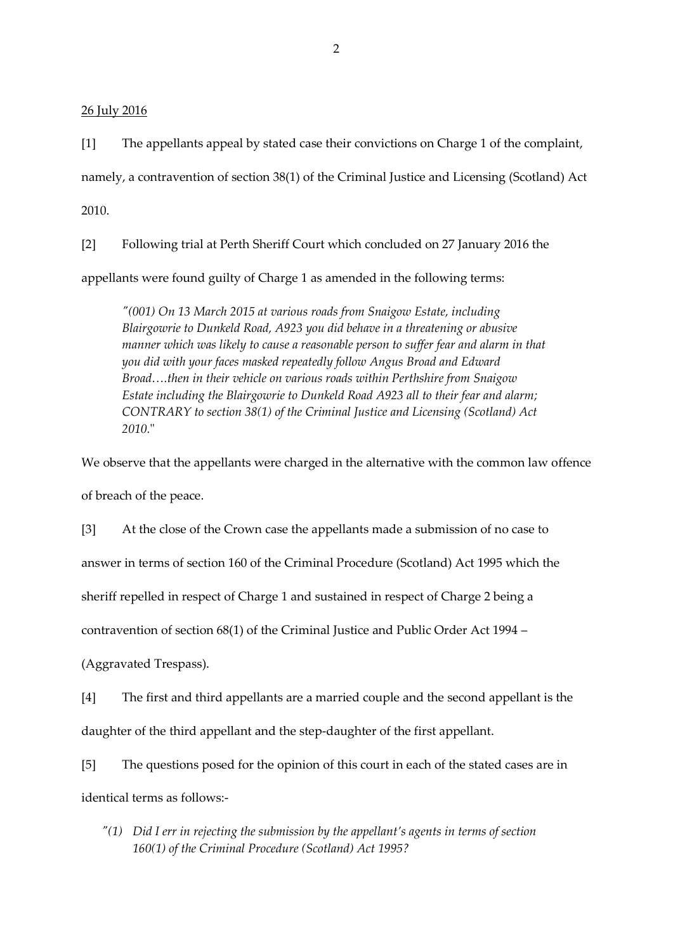26 July 2016

[1] The appellants appeal by stated case their convictions on Charge 1 of the complaint, namely, a contravention of section 38(1) of the Criminal Justice and Licensing (Scotland) Act 2010.

[2] Following trial at Perth Sheriff Court which concluded on 27 January 2016 the appellants were found guilty of Charge 1 as amended in the following terms:

*"(001) On 13 March 2015 at various roads from Snaigow Estate, including Blairgowrie to Dunkeld Road, A923 you did behave in a threatening or abusive manner which was likely to cause a reasonable person to suffer fear and alarm in that you did with your faces masked repeatedly follow Angus Broad and Edward Broad….then in their vehicle on various roads within Perthshire from Snaigow Estate including the Blairgowrie to Dunkeld Road A923 all to their fear and alarm; CONTRARY to section 38(1) of the Criminal Justice and Licensing (Scotland) Act 2010.*"

We observe that the appellants were charged in the alternative with the common law offence of breach of the peace.

[3] At the close of the Crown case the appellants made a submission of no case to

answer in terms of section 160 of the Criminal Procedure (Scotland) Act 1995 which the

sheriff repelled in respect of Charge 1 and sustained in respect of Charge 2 being a

contravention of section 68(1) of the Criminal Justice and Public Order Act 1994 –

(Aggravated Trespass).

[4] The first and third appellants are a married couple and the second appellant is the daughter of the third appellant and the step-daughter of the first appellant.

[5] The questions posed for the opinion of this court in each of the stated cases are in identical terms as follows:-

*"(1) Did I err in rejecting the submission by the appellant's agents in terms of section 160(1) of the Criminal Procedure (Scotland) Act 1995?*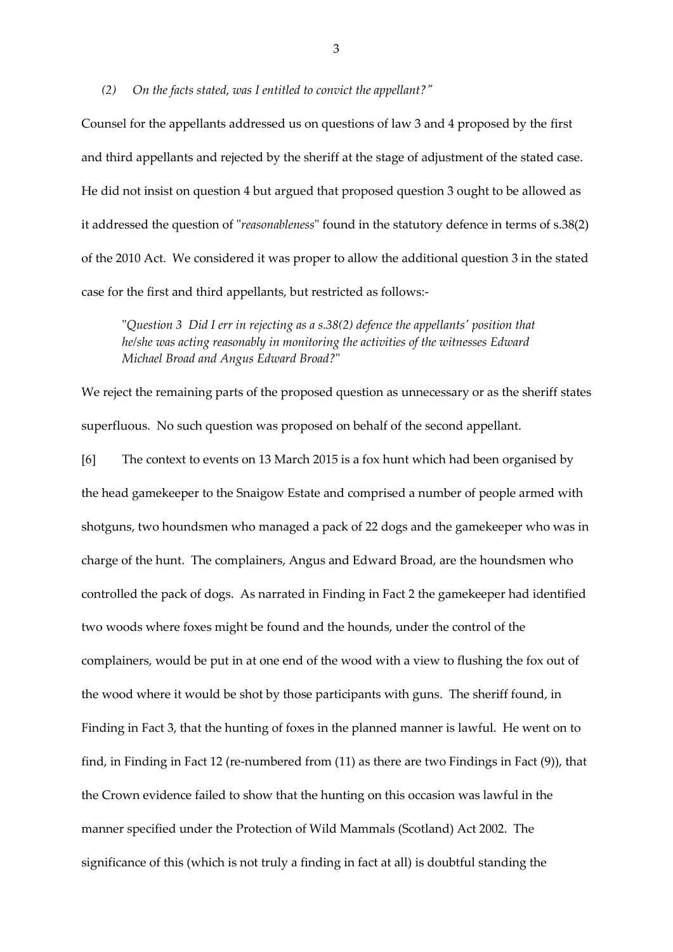#### *(2) On the facts stated, was I entitled to convict the appellant?"*

Counsel for the appellants addressed us on questions of law 3 and 4 proposed by the first and third appellants and rejected by the sheriff at the stage of adjustment of the stated case. He did not insist on question 4 but argued that proposed question 3 ought to be allowed as it addressed the question of "*reasonableness*" found in the statutory defence in terms of s.38(2) of the 2010 Act. We considered it was proper to allow the additional question 3 in the stated case for the first and third appellants, but restricted as follows:-

"*Question 3 Did I err in rejecting as a s.38(2) defence the appellants' position that he/she was acting reasonably in monitoring the activities of the witnesses Edward Michael Broad and Angus Edward Broad?*"

We reject the remaining parts of the proposed question as unnecessary or as the sheriff states superfluous. No such question was proposed on behalf of the second appellant.

[6] The context to events on 13 March 2015 is a fox hunt which had been organised by the head gamekeeper to the Snaigow Estate and comprised a number of people armed with shotguns, two houndsmen who managed a pack of 22 dogs and the gamekeeper who was in charge of the hunt. The complainers, Angus and Edward Broad, are the houndsmen who controlled the pack of dogs. As narrated in Finding in Fact 2 the gamekeeper had identified two woods where foxes might be found and the hounds, under the control of the complainers, would be put in at one end of the wood with a view to flushing the fox out of the wood where it would be shot by those participants with guns. The sheriff found, in Finding in Fact 3, that the hunting of foxes in the planned manner is lawful. He went on to find, in Finding in Fact 12 (re-numbered from (11) as there are two Findings in Fact (9)), that the Crown evidence failed to show that the hunting on this occasion was lawful in the manner specified under the Protection of Wild Mammals (Scotland) Act 2002. The significance of this (which is not truly a finding in fact at all) is doubtful standing the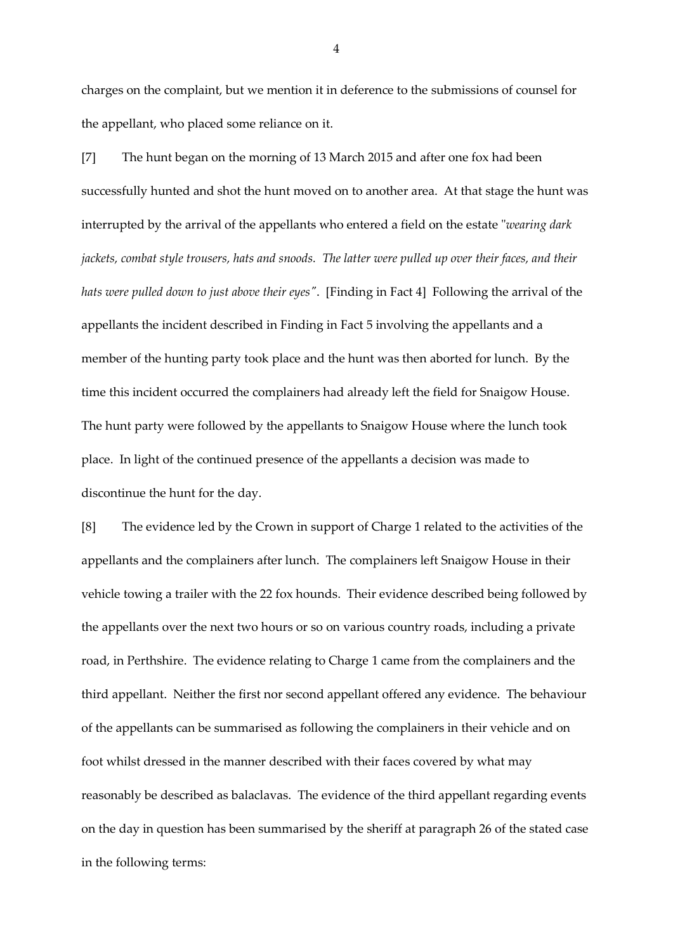charges on the complaint, but we mention it in deference to the submissions of counsel for the appellant, who placed some reliance on it.

[7] The hunt began on the morning of 13 March 2015 and after one fox had been successfully hunted and shot the hunt moved on to another area. At that stage the hunt was interrupted by the arrival of the appellants who entered a field on the estate "*wearing dark jackets, combat style trousers, hats and snoods. The latter were pulled up over their faces, and their hats were pulled down to just above their eyes"*. [Finding in Fact 4] Following the arrival of the appellants the incident described in Finding in Fact 5 involving the appellants and a member of the hunting party took place and the hunt was then aborted for lunch. By the time this incident occurred the complainers had already left the field for Snaigow House. The hunt party were followed by the appellants to Snaigow House where the lunch took place. In light of the continued presence of the appellants a decision was made to discontinue the hunt for the day.

[8] The evidence led by the Crown in support of Charge 1 related to the activities of the appellants and the complainers after lunch. The complainers left Snaigow House in their vehicle towing a trailer with the 22 fox hounds. Their evidence described being followed by the appellants over the next two hours or so on various country roads, including a private road, in Perthshire. The evidence relating to Charge 1 came from the complainers and the third appellant. Neither the first nor second appellant offered any evidence. The behaviour of the appellants can be summarised as following the complainers in their vehicle and on foot whilst dressed in the manner described with their faces covered by what may reasonably be described as balaclavas. The evidence of the third appellant regarding events on the day in question has been summarised by the sheriff at paragraph 26 of the stated case in the following terms: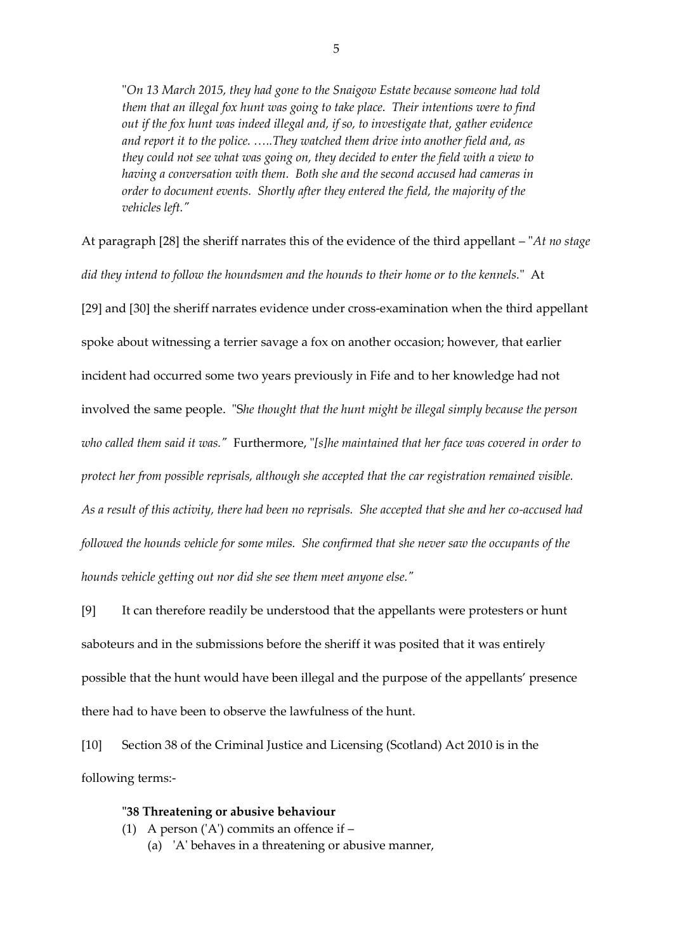"*On 13 March 2015, they had gone to the Snaigow Estate because someone had told them that an illegal fox hunt was going to take place. Their intentions were to find out if the fox hunt was indeed illegal and, if so, to investigate that, gather evidence and report it to the police. …..They watched them drive into another field and, as they could not see what was going on, they decided to enter the field with a view to having a conversation with them. Both she and the second accused had cameras in order to document events. Shortly after they entered the field, the majority of the vehicles left."*

At paragraph [28] the sheriff narrates this of the evidence of the third appellant – "*At no stage did they intend to follow the houndsmen and the hounds to their home or to the kennels.*" At [29] and [30] the sheriff narrates evidence under cross-examination when the third appellant spoke about witnessing a terrier savage a fox on another occasion; however, that earlier incident had occurred some two years previously in Fife and to her knowledge had not involved the same people. "S*he thought that the hunt might be illegal simply because the person who called them said it was."* Furthermore, "*[s]he maintained that her face was covered in order to protect her from possible reprisals, although she accepted that the car registration remained visible. As a result of this activity, there had been no reprisals. She accepted that she and her co-accused had followed the hounds vehicle for some miles. She confirmed that she never saw the occupants of the hounds vehicle getting out nor did she see them meet anyone else."*

[9] It can therefore readily be understood that the appellants were protesters or hunt saboteurs and in the submissions before the sheriff it was posited that it was entirely possible that the hunt would have been illegal and the purpose of the appellants' presence there had to have been to observe the lawfulness of the hunt.

[10] Section 38 of the Criminal Justice and Licensing (Scotland) Act 2010 is in the following terms:-

### **"38 Threatening or abusive behaviour**

- (1) A person ('A') commits an offence if
	- (a) 'A' behaves in a threatening or abusive manner,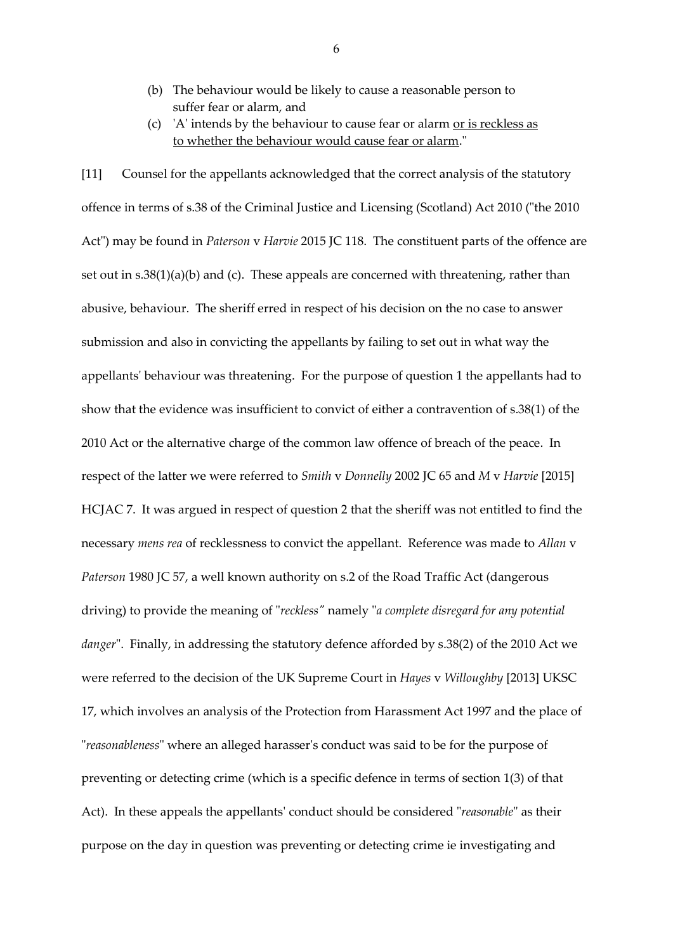- (b) The behaviour would be likely to cause a reasonable person to suffer fear or alarm, and
- (c) 'A' intends by the behaviour to cause fear or alarm or is reckless as to whether the behaviour would cause fear or alarm."

[11] Counsel for the appellants acknowledged that the correct analysis of the statutory offence in terms of s.38 of the Criminal Justice and Licensing (Scotland) Act 2010 ("the 2010 Act") may be found in *Paterson* v *Harvie* 2015 JC 118. The constituent parts of the offence are set out in s.38(1)(a)(b) and (c). These appeals are concerned with threatening, rather than abusive, behaviour. The sheriff erred in respect of his decision on the no case to answer submission and also in convicting the appellants by failing to set out in what way the appellants' behaviour was threatening. For the purpose of question 1 the appellants had to show that the evidence was insufficient to convict of either a contravention of s.38(1) of the 2010 Act or the alternative charge of the common law offence of breach of the peace. In respect of the latter we were referred to *Smith* v *Donnelly* 2002 JC 65 and *M* v *Harvie* [2015] HCJAC 7. It was argued in respect of question 2 that the sheriff was not entitled to find the necessary *mens rea* of recklessness to convict the appellant. Reference was made to *Allan* v *Paterson* 1980 JC 57, a well known authority on s.2 of the Road Traffic Act (dangerous driving) to provide the meaning of "*reckless"* namely "*a complete disregard for any potential danger*". Finally, in addressing the statutory defence afforded by s.38(2) of the 2010 Act we were referred to the decision of the UK Supreme Court in *Hayes* v *Willoughby* [2013] UKSC 17, which involves an analysis of the Protection from Harassment Act 1997 and the place of "*reasonableness*" where an alleged harasser's conduct was said to be for the purpose of preventing or detecting crime (which is a specific defence in terms of section 1(3) of that Act). In these appeals the appellants' conduct should be considered "*reasonable*" as their purpose on the day in question was preventing or detecting crime ie investigating and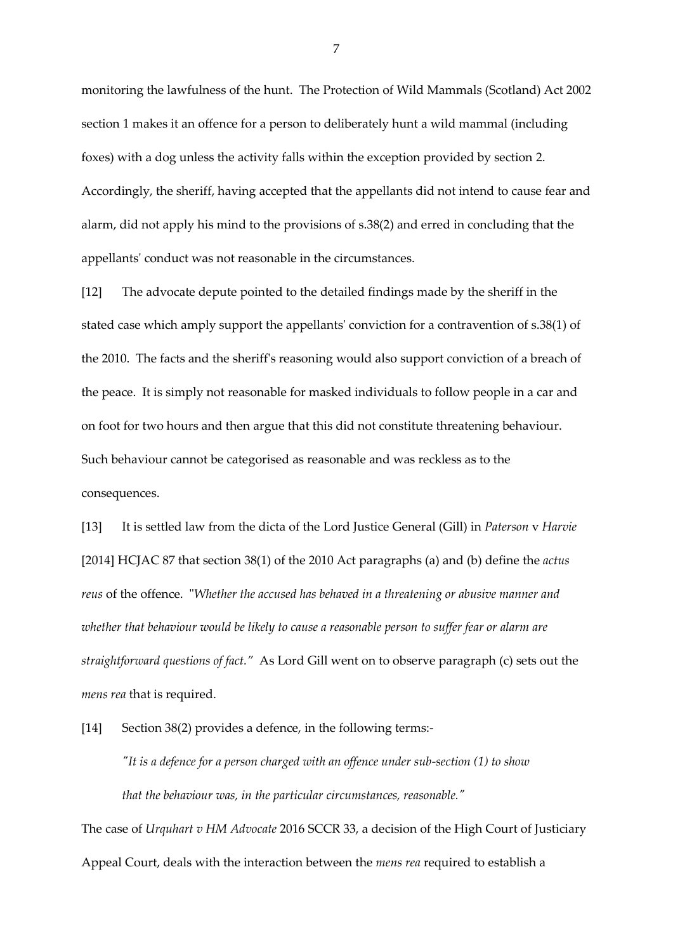monitoring the lawfulness of the hunt. The Protection of Wild Mammals (Scotland) Act 2002 section 1 makes it an offence for a person to deliberately hunt a wild mammal (including foxes) with a dog unless the activity falls within the exception provided by section 2. Accordingly, the sheriff, having accepted that the appellants did not intend to cause fear and alarm, did not apply his mind to the provisions of s.38(2) and erred in concluding that the appellants' conduct was not reasonable in the circumstances.

[12] The advocate depute pointed to the detailed findings made by the sheriff in the stated case which amply support the appellants' conviction for a contravention of s.38(1) of the 2010. The facts and the sheriff's reasoning would also support conviction of a breach of the peace. It is simply not reasonable for masked individuals to follow people in a car and on foot for two hours and then argue that this did not constitute threatening behaviour. Such behaviour cannot be categorised as reasonable and was reckless as to the consequences.

[13] It is settled law from the dicta of the Lord Justice General (Gill) in *Paterson* v *Harvie* [2014] HCJAC 87 that section 38(1) of the 2010 Act paragraphs (a) and (b) define the *actus reus* of the offence. "*Whether the accused has behaved in a threatening or abusive manner and whether that behaviour would be likely to cause a reasonable person to suffer fear or alarm are straightforward questions of fact."* As Lord Gill went on to observe paragraph (c) sets out the *mens rea* that is required.

[14] Section 38(2) provides a defence, in the following terms:-

*"It is a defence for a person charged with an offence under sub-section (1) to show that the behaviour was, in the particular circumstances, reasonable."*

The case of *Urquhart v HM Advocate* 2016 SCCR 33, a decision of the High Court of Justiciary Appeal Court, deals with the interaction between the *mens rea* required to establish a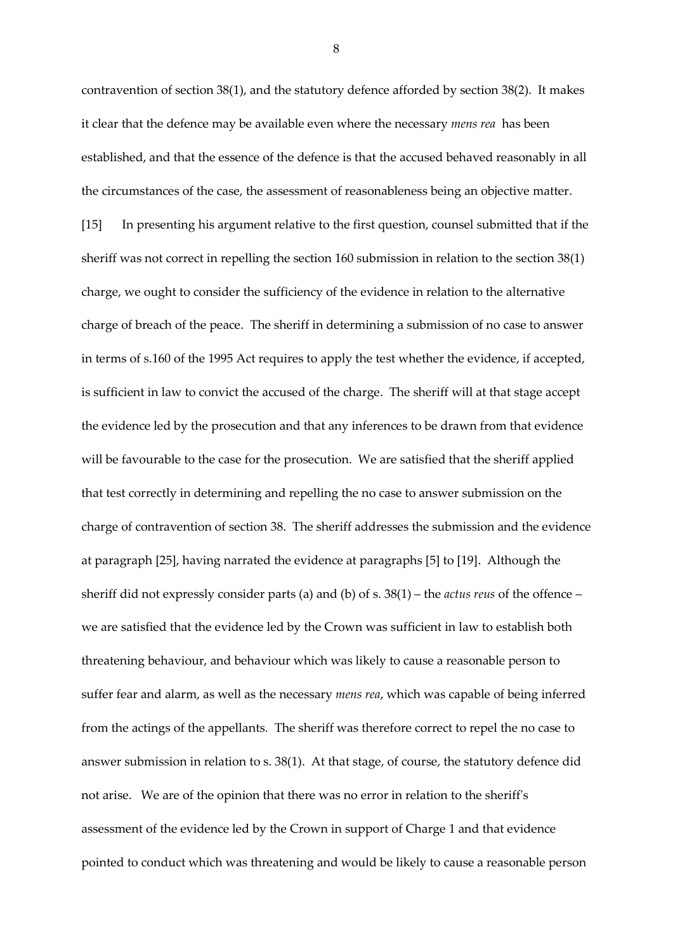contravention of section 38(1), and the statutory defence afforded by section 38(2). It makes it clear that the defence may be available even where the necessary *mens rea* has been established, and that the essence of the defence is that the accused behaved reasonably in all the circumstances of the case, the assessment of reasonableness being an objective matter. [15] In presenting his argument relative to the first question, counsel submitted that if the sheriff was not correct in repelling the section 160 submission in relation to the section 38(1) charge, we ought to consider the sufficiency of the evidence in relation to the alternative charge of breach of the peace. The sheriff in determining a submission of no case to answer in terms of s.160 of the 1995 Act requires to apply the test whether the evidence, if accepted, is sufficient in law to convict the accused of the charge. The sheriff will at that stage accept the evidence led by the prosecution and that any inferences to be drawn from that evidence will be favourable to the case for the prosecution. We are satisfied that the sheriff applied that test correctly in determining and repelling the no case to answer submission on the charge of contravention of section 38. The sheriff addresses the submission and the evidence at paragraph [25], having narrated the evidence at paragraphs [5] to [19]. Although the sheriff did not expressly consider parts (a) and (b) of s. 38(1) – the *actus reus* of the offence – we are satisfied that the evidence led by the Crown was sufficient in law to establish both threatening behaviour, and behaviour which was likely to cause a reasonable person to suffer fear and alarm, as well as the necessary *mens rea*, which was capable of being inferred from the actings of the appellants*.* The sheriff was therefore correct to repel the no case to answer submission in relation to s. 38(1). At that stage, of course, the statutory defence did not arise. We are of the opinion that there was no error in relation to the sheriff's assessment of the evidence led by the Crown in support of Charge 1 and that evidence pointed to conduct which was threatening and would be likely to cause a reasonable person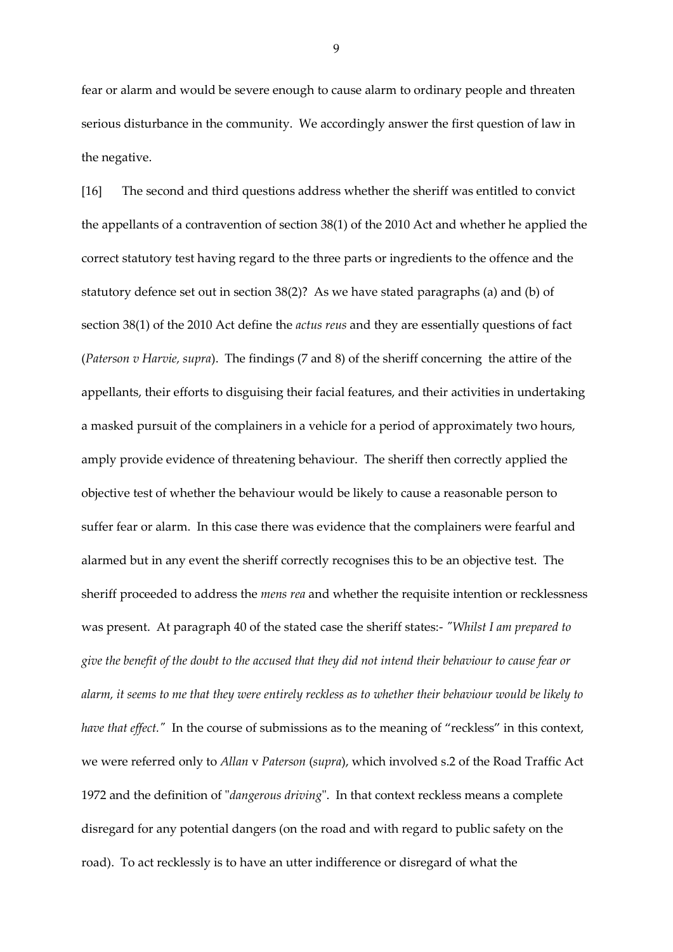fear or alarm and would be severe enough to cause alarm to ordinary people and threaten serious disturbance in the community. We accordingly answer the first question of law in the negative.

[16] The second and third questions address whether the sheriff was entitled to convict the appellants of a contravention of section 38(1) of the 2010 Act and whether he applied the correct statutory test having regard to the three parts or ingredients to the offence and the statutory defence set out in section 38(2)? As we have stated paragraphs (a) and (b) of section 38(1) of the 2010 Act define the *actus reus* and they are essentially questions of fact (*Paterson v Harvie, supra*). The findings (7 and 8) of the sheriff concerning the attire of the appellants, their efforts to disguising their facial features, and their activities in undertaking a masked pursuit of the complainers in a vehicle for a period of approximately two hours, amply provide evidence of threatening behaviour. The sheriff then correctly applied the objective test of whether the behaviour would be likely to cause a reasonable person to suffer fear or alarm. In this case there was evidence that the complainers were fearful and alarmed but in any event the sheriff correctly recognises this to be an objective test. The sheriff proceeded to address the *mens rea* and whether the requisite intention or recklessness was present. At paragraph 40 of the stated case the sheriff states:- *"Whilst I am prepared to give the benefit of the doubt to the accused that they did not intend their behaviour to cause fear or alarm, it seems to me that they were entirely reckless as to whether their behaviour would be likely to have that effect.*" In the course of submissions as to the meaning of "reckless" in this context, we were referred only to *Allan* v *Paterson* (*supra*), which involved s.2 of the Road Traffic Act 1972 and the definition of "*dangerous driving*". In that context reckless means a complete disregard for any potential dangers (on the road and with regard to public safety on the road). To act recklessly is to have an utter indifference or disregard of what the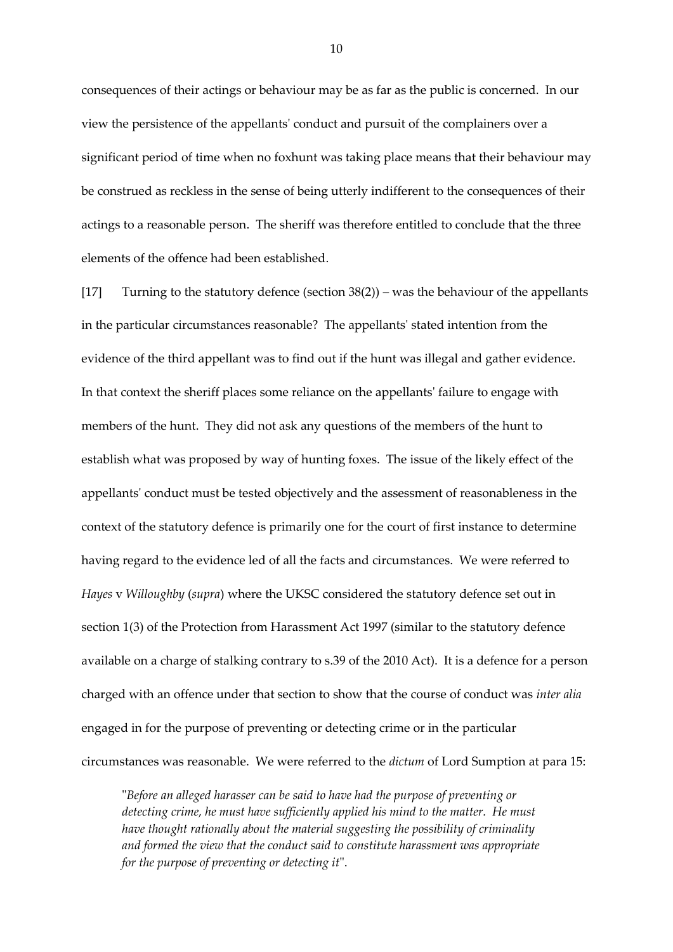consequences of their actings or behaviour may be as far as the public is concerned. In our view the persistence of the appellants' conduct and pursuit of the complainers over a significant period of time when no foxhunt was taking place means that their behaviour may be construed as reckless in the sense of being utterly indifferent to the consequences of their actings to a reasonable person. The sheriff was therefore entitled to conclude that the three elements of the offence had been established.

[17] Turning to the statutory defence (section 38(2)) – was the behaviour of the appellants in the particular circumstances reasonable? The appellants' stated intention from the evidence of the third appellant was to find out if the hunt was illegal and gather evidence. In that context the sheriff places some reliance on the appellants' failure to engage with members of the hunt. They did not ask any questions of the members of the hunt to establish what was proposed by way of hunting foxes. The issue of the likely effect of the appellants' conduct must be tested objectively and the assessment of reasonableness in the context of the statutory defence is primarily one for the court of first instance to determine having regard to the evidence led of all the facts and circumstances. We were referred to *Hayes* v *Willoughby* (*supra*) where the UKSC considered the statutory defence set out in section 1(3) of the Protection from Harassment Act 1997 (similar to the statutory defence available on a charge of stalking contrary to s.39 of the 2010 Act). It is a defence for a person charged with an offence under that section to show that the course of conduct was *inter alia* engaged in for the purpose of preventing or detecting crime or in the particular circumstances was reasonable. We were referred to the *dictum* of Lord Sumption at para 15:

"*Before an alleged harasser can be said to have had the purpose of preventing or detecting crime, he must have sufficiently applied his mind to the matter. He must have thought rationally about the material suggesting the possibility of criminality and formed the view that the conduct said to constitute harassment was appropriate for the purpose of preventing or detecting it*".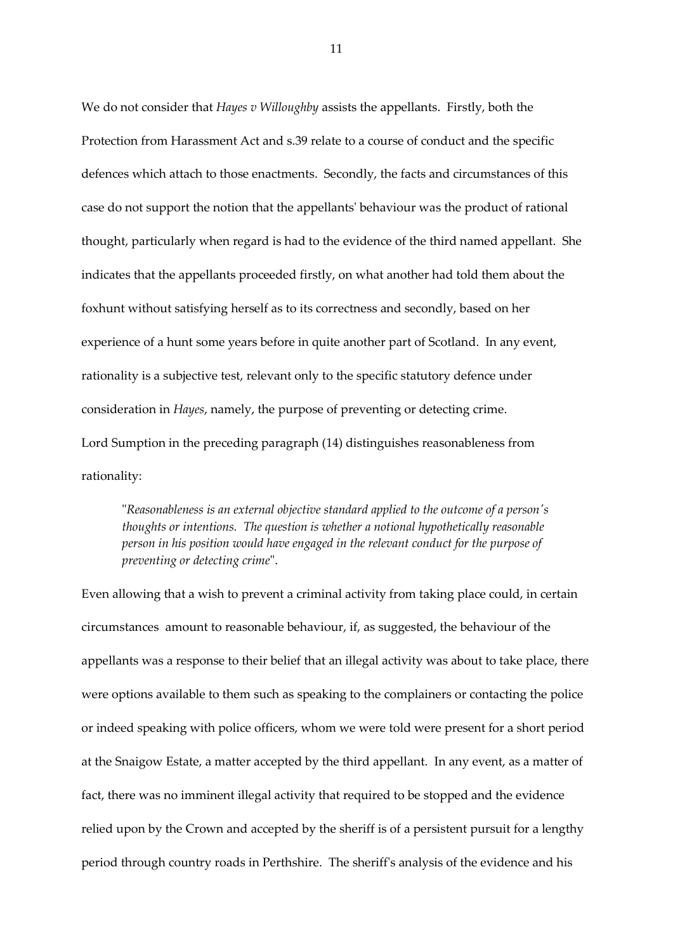We do not consider that *Hayes v Willoughby* assists the appellants. Firstly, both the Protection from Harassment Act and s.39 relate to a course of conduct and the specific defences which attach to those enactments. Secondly, the facts and circumstances of this case do not support the notion that the appellants' behaviour was the product of rational thought, particularly when regard is had to the evidence of the third named appellant. She indicates that the appellants proceeded firstly, on what another had told them about the foxhunt without satisfying herself as to its correctness and secondly, based on her experience of a hunt some years before in quite another part of Scotland. In any event, rationality is a subjective test, relevant only to the specific statutory defence under consideration in *Hayes*, namely, the purpose of preventing or detecting crime. Lord Sumption in the preceding paragraph (14) distinguishes reasonableness from rationality:

"*Reasonableness is an external objective standard applied to the outcome of a person's thoughts or intentions. The question is whether a notional hypothetically reasonable person in his position would have engaged in the relevant conduct for the purpose of preventing or detecting crime*".

Even allowing that a wish to prevent a criminal activity from taking place could, in certain circumstances amount to reasonable behaviour, if, as suggested, the behaviour of the appellants was a response to their belief that an illegal activity was about to take place, there were options available to them such as speaking to the complainers or contacting the police or indeed speaking with police officers, whom we were told were present for a short period at the Snaigow Estate, a matter accepted by the third appellant. In any event, as a matter of fact, there was no imminent illegal activity that required to be stopped and the evidence relied upon by the Crown and accepted by the sheriff is of a persistent pursuit for a lengthy period through country roads in Perthshire. The sheriff's analysis of the evidence and his